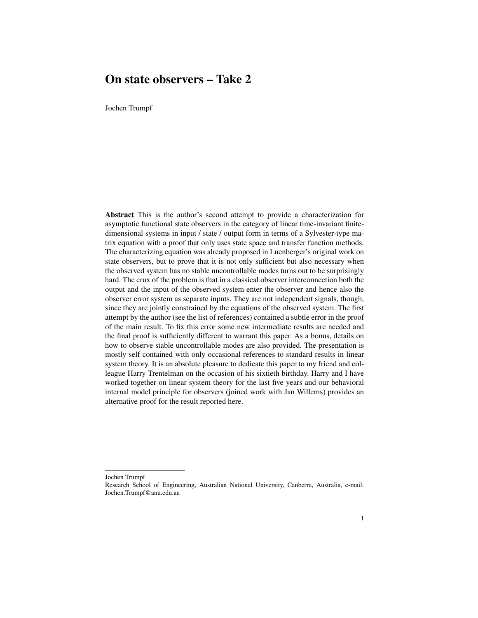# On state observers – Take 2

Jochen Trumpf

Abstract This is the author's second attempt to provide a characterization for asymptotic functional state observers in the category of linear time-invariant finitedimensional systems in input / state / output form in terms of a Sylvester-type matrix equation with a proof that only uses state space and transfer function methods. The characterizing equation was already proposed in Luenberger's original work on state observers, but to prove that it is not only sufficient but also necessary when the observed system has no stable uncontrollable modes turns out to be surprisingly hard. The crux of the problem is that in a classical observer interconnection both the output and the input of the observed system enter the observer and hence also the observer error system as separate inputs. They are not independent signals, though, since they are jointly constrained by the equations of the observed system. The first attempt by the author (see the list of references) contained a subtle error in the proof of the main result. To fix this error some new intermediate results are needed and the final proof is sufficiently different to warrant this paper. As a bonus, details on how to observe stable uncontrollable modes are also provided. The presentation is mostly self contained with only occasional references to standard results in linear system theory. It is an absolute pleasure to dedicate this paper to my friend and colleague Harry Trentelman on the occasion of his sixtieth birthday. Harry and I have worked together on linear system theory for the last five years and our behavioral internal model principle for observers (joined work with Jan Willems) provides an alternative proof for the result reported here.

Jochen Trumpf Research School of Engineering, Australian National University, Canberra, Australia, e-mail: Jochen.Trumpf@anu.edu.au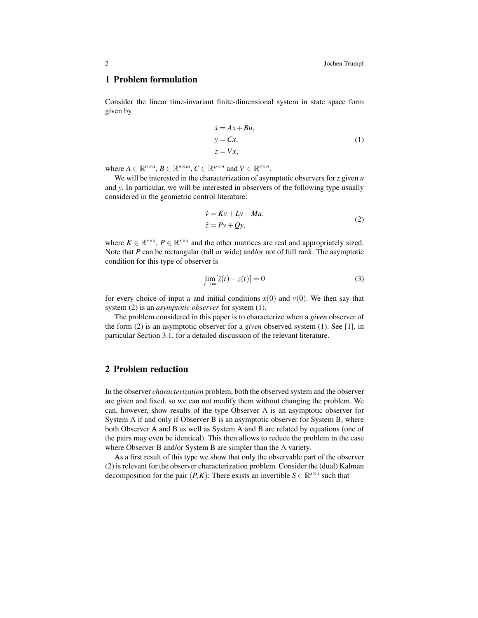### 1 Problem formulation

Consider the linear time-invariant finite-dimensional system in state space form given by

$$
\begin{aligned}\n\dot{x} &= Ax + Bu, \\
y &= Cx, \\
z &= Vx,\n\end{aligned}
$$
\n(1)

where  $A \in \mathbb{R}^{n \times n}$ ,  $B \in \mathbb{R}^{n \times m}$ ,  $C \in \mathbb{R}^{p \times n}$  and  $V \in \mathbb{R}^{r \times n}$ .

We will be interested in the characterization of asymptotic observers for *z* given *u* and *y*. In particular, we will be interested in observers of the following type usually considered in the geometric control literature:

$$
\begin{aligned} \n\dot{v} &= Kv + Ly + Mu, \\ \n\dot{z} &= Pv + Qy, \n\end{aligned} \tag{2}
$$

where  $K \in \mathbb{R}^{s \times s}$ ,  $P \in \mathbb{R}^{r \times s}$  and the other matrices are real and appropriately sized. Note that *P* can be rectangular (tall or wide) and/or not of full rank. The asymptotic condition for this type of observer is

$$
\lim_{t \to \infty} [\hat{z}(t) - z(t)] = 0 \tag{3}
$$

for every choice of input *u* and initial conditions  $x(0)$  and  $v(0)$ . We then say that system (2) is an *asymptotic observer* for system (1).

The problem considered in this paper is to characterize when a *given* observer of the form (2) is an asymptotic observer for a *given* observed system (1). See [1], in particular Section 3.1, for a detailed discussion of the relevant literature.

## 2 Problem reduction

In the observer *characterization* problem, both the observed system and the observer are given and fixed, so we can not modify them without changing the problem. We can, however, show results of the type Observer A is an asymptotic observer for System A if and only if Observer B is an asymptotic observer for System B, where both Observer A and B as well as System A and B are related by equations (one of the pairs may even be identical). This then allows to reduce the problem in the case where Observer B and/or System B are simpler than the A variety.

As a first result of this type we show that only the observable part of the observer (2) is relevant for the observer characterization problem. Consider the (dual) Kalman decomposition for the pair  $(P, K)$ : There exists an invertible  $S \in \mathbb{R}^{s \times s}$  such that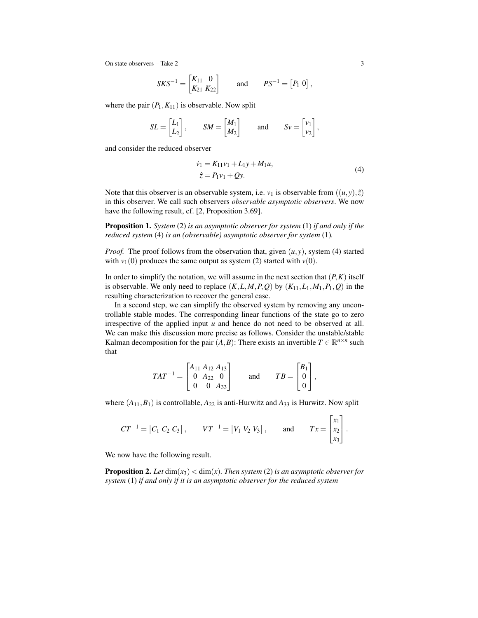On state observers – Take 2 3

$$
S K S^{-1} = \begin{bmatrix} K_{11} & 0 \\ K_{21} & K_{22} \end{bmatrix} \qquad \text{and} \qquad PS^{-1} = \begin{bmatrix} P_1 & 0 \end{bmatrix},
$$

where the pair  $(P_1, K_{11})$  is observable. Now split

$$
SL = \begin{bmatrix} L_1 \\ L_2 \end{bmatrix}, \qquad SM = \begin{bmatrix} M_1 \\ M_2 \end{bmatrix} \qquad \text{and} \qquad Sv = \begin{bmatrix} v_1 \\ v_2 \end{bmatrix},
$$

and consider the reduced observer

$$
\dot{v}_1 = K_{11}v_1 + L_{1}y + M_1u,
$$
  
\n
$$
\hat{z} = P_1v_1 + Qy.
$$
\n(4)

Note that this observer is an observable system, i.e.  $v_1$  is observable from  $((u, y), \hat{z})$ in this observer. We call such observers *observable asymptotic observers*. We now have the following result, cf. [2, Proposition 3.69].

Proposition 1. *System* (2) *is an asymptotic observer for system* (1) *if and only if the reduced system* (4) *is an (observable) asymptotic observer for system* (1)*.*

*Proof.* The proof follows from the observation that, given  $(u, y)$ , system (4) started with  $v_1(0)$  produces the same output as system (2) started with  $v(0)$ .

In order to simplify the notation, we will assume in the next section that  $(P, K)$  itself is observable. We only need to replace  $(K, L, M, P, Q)$  by  $(K_{11}, L_1, M_1, P_1, Q)$  in the resulting characterization to recover the general case.

In a second step, we can simplify the observed system by removing any uncontrollable stable modes. The corresponding linear functions of the state go to zero irrespective of the applied input *u* and hence do not need to be observed at all. We can make this discussion more precise as follows. Consider the unstable/stable Kalman decomposition for the pair  $(A, B)$ : There exists an invertible  $T \in \mathbb{R}^{n \times n}$  such that

$$
TAT^{-1} = \begin{bmatrix} A_{11} & A_{12} & A_{13} \\ 0 & A_{22} & 0 \\ 0 & 0 & A_{33} \end{bmatrix} \quad \text{and} \quad TB = \begin{bmatrix} B_1 \\ 0 \\ 0 \end{bmatrix},
$$

where  $(A_{11}, B_1)$  is controllable,  $A_{22}$  is anti-Hurwitz and  $A_{33}$  is Hurwitz. Now split

$$
CT^{-1} = [C_1 C_2 C_3], \quad VT^{-1} = [V_1 V_2 V_3], \quad \text{and} \quad Tx = \begin{bmatrix} x_1 \\ x_2 \\ x_3 \end{bmatrix}.
$$

We now have the following result.

**Proposition 2.** Let  $dim(x_3) < dim(x)$ . Then system (2) is an asymptotic observer for *system* (1) *if and only if it is an asymptotic observer for the reduced system*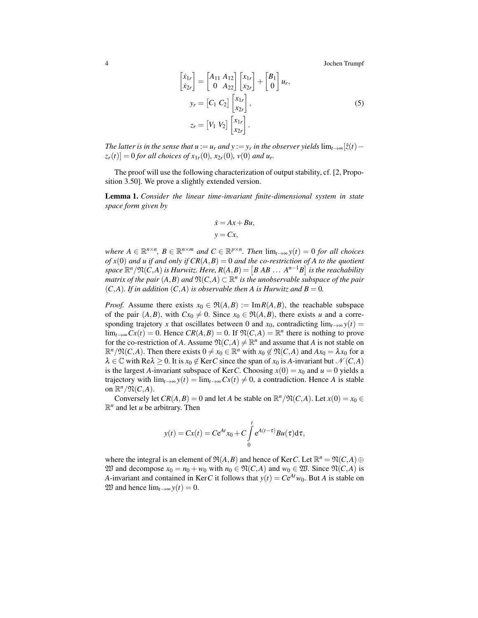4 Jochen Trumpf

$$
\begin{aligned}\n\begin{bmatrix}\n\dot{x}_{1r} \\
\dot{x}_{2r}\n\end{bmatrix} &= \begin{bmatrix}\nA_{11} & A_{12} \\
0 & A_{22}\n\end{bmatrix} \begin{bmatrix}\nx_{1r} \\
x_{2r}\n\end{bmatrix} + \begin{bmatrix}\nB_1 \\
0\n\end{bmatrix} u_r, \\
y_r &= \begin{bmatrix}\nC_1 & C_2\n\end{bmatrix} \begin{bmatrix}\nx_{1r} \\
x_{2r}\n\end{bmatrix}, \\
z_r &= \begin{bmatrix}\nV_1 & V_2\n\end{bmatrix} \begin{bmatrix}\nx_{1r} \\
x_{2r}\n\end{bmatrix}.\n\end{aligned}
$$
\n(5)

*The latter is in the sense that*  $u := u_r$  *and*  $y := y_r$  *in the observer yields*  $\lim_{t\to\infty} [\hat{z}(t)$  $z_r(t)$  = 0 *for all choices of*  $x_{1r}(0)$ *,*  $x_{2r}(0)$ *, v*(0) *and u<sub>r</sub>*.

The proof will use the following characterization of output stability, cf. [2, Proposition 3.50]. We prove a slightly extended version.

Lemma 1. *Consider the linear time-invariant finite-dimensional system in state space form given by*

$$
\begin{aligned}\n\dot{x} &= Ax + Bu, \\
y &= Cx,\n\end{aligned}
$$

*where*  $A \in \mathbb{R}^{n \times n}$ ,  $B \in \mathbb{R}^{n \times m}$  *and*  $C \in \mathbb{R}^{p \times n}$ . *Then*  $\lim_{t \to \infty} y(t) = 0$  *for all choices of x*(0) *and u if and only if CR*(*A*,*B*) = 0 *and the co-restriction of A to the quotient*  $space \mathbb{R}^n/\mathfrak{N}(C, A)$  *is Hurwitz. Here,*  $R(A, B) = [B \ AB \dots \ A^{n-1}B]$  *is the reachability matrix of the pair*  $(A, B)$  *and*  $\mathfrak{N}(C, A) \subset \mathbb{R}^n$  *is the unobservable subspace of the pair*  $(C, A)$ *. If in addition*  $(C, A)$  *is observable then* A *is Hurwitz and*  $B = 0$ *.* 

*Proof.* Assume there exists  $x_0 \in \mathcal{R}(A,B) := \text{Im } R(A,B)$ , the reachable subspace of the pair  $(A, B)$ , with  $Cx_0 \neq 0$ . Since  $x_0 \in \mathfrak{R}(A, B)$ , there exists *u* and a corresponding trajetory *x* that oscillates between 0 and  $x_0$ , contradicting  $\lim_{t\to\infty} y(t) =$ lim<sub>*t→∞*</sub>  $Cx(t) = 0$ . Hence  $CR(A, B) = 0$ . If  $\mathfrak{N}(C, A) = \mathbb{R}^n$  there is nothing to prove for the co-restriction of *A*. Assume  $\mathfrak{N}(C, A) \neq \mathbb{R}^n$  and assume that *A* is not stable on  $\mathbb{R}^n/\mathfrak{N}(C,A)$ . Then there exists  $0 \neq x_0 \in \mathbb{R}^n$  with  $x_0 \notin \mathfrak{N}(C,A)$  and  $Ax_0 = \lambda x_0$  for a  $\lambda \in \mathbb{C}$  with Re $\lambda \geq 0$ . It is  $x_0 \notin \text{Ker } C$  since the span of  $x_0$  is *A*-invariant but  $\mathcal{N}(C, A)$ is the largest *A*-invariant subspace of Ker*C*. Choosing  $x(0) = x_0$  and  $u = 0$  yields a trajectory with  $\lim_{t\to\infty} y(t) = \lim_{t\to\infty} Cx(t) \neq 0$ , a contradiction. Hence *A* is stable on  $\mathbb{R}^n/\mathfrak{N}(C,A)$ .

Conversely let  $CR(A, B) = 0$  and let *A* be stable on  $\mathbb{R}^n/\mathfrak{N}(C, A)$ . Let  $x(0) = x_0 \in$  $\mathbb{R}^n$  and let *u* be arbitrary. Then

$$
y(t) = Cx(t) = Ce^{At}x_0 + C\int\limits_0^t e^{A(t-\tau)}Bu(\tau)d\tau,
$$

where the integral is an element of  $\mathfrak{R}(A, B)$  and hence of Ker*C*. Let  $\mathbb{R}^n = \mathfrak{N}(C, A) \oplus$ W and decompose  $x_0 = n_0 + w_0$  with  $n_0 \in \mathfrak{N}(C, A)$  and  $w_0 \in \mathfrak{W}$ . Since  $\mathfrak{N}(C, A)$  is *A*-invariant and contained in Ker*C* it follows that  $y(t) = Ce^{At}w_0$ . But *A* is stable on  $\mathfrak{W}$  and hence  $\lim_{t\to\infty} y(t) = 0$ .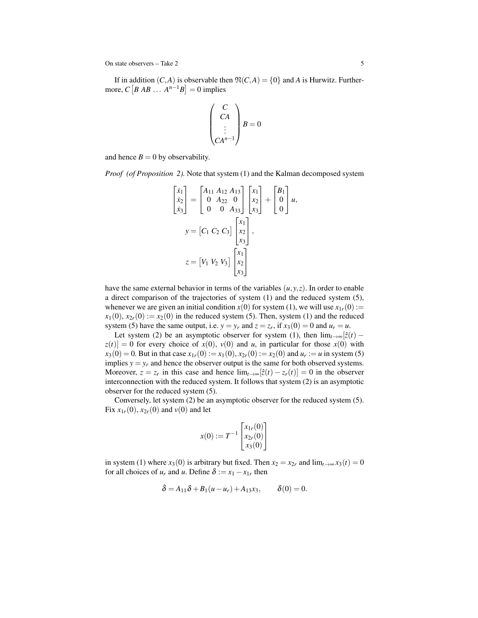On state observers – Take 2 5

If in addition  $(C, A)$  is observable then  $\mathfrak{N}(C, A) = \{0\}$  and A is Hurwitz. Furthermore,  $C \left[ B \, AB \, \dots \, A^{n-1}B \right] = 0$  implies

$$
\begin{pmatrix} C \\ CA \\ \vdots \\ CA^{n-1} \end{pmatrix} B = 0
$$

and hence  $B = 0$  by observability.

*Proof (of Proposition 2).* Note that system (1) and the Kalman decomposed system

$$
\begin{bmatrix} \dot{x}_1 \\ \dot{x}_2 \\ \dot{x}_3 \end{bmatrix} = \begin{bmatrix} A_{11} & A_{12} & A_{13} \\ 0 & A_{22} & 0 \\ 0 & 0 & A_{33} \end{bmatrix} \begin{bmatrix} x_1 \\ x_2 \\ x_3 \end{bmatrix} + \begin{bmatrix} B_1 \\ 0 \\ 0 \end{bmatrix} u,
$$

$$
y = \begin{bmatrix} C_1 & C_2 & C_3 \end{bmatrix} \begin{bmatrix} x_1 \\ x_2 \\ x_3 \end{bmatrix},
$$

$$
z = \begin{bmatrix} V_1 & V_2 & V_3 \end{bmatrix} \begin{bmatrix} x_1 \\ x_2 \\ x_3 \end{bmatrix}
$$

have the same external behavior in terms of the variables  $(u, y, z)$ . In order to enable a direct comparison of the trajectories of system (1) and the reduced system (5), whenever we are given an initial condition  $x(0)$  for system (1), we will use  $x_{1r}(0)$ :  $x_1(0), x_{2r}(0) := x_2(0)$  in the reduced system (5). Then, system (1) and the reduced system (5) have the same output, i.e.  $y = y_r$  and  $z = z_r$ , if  $x_3(0) = 0$  and  $u_r = u$ .

Let system (2) be an asymptotic observer for system (1), then  $\lim_{t\to\infty}[\hat{z}(t)$  $z(t)$  = 0 for every choice of  $x(0)$ ,  $v(0)$  and *u*, in particular for those  $x(0)$  with  $x_3(0) = 0$ . But in that case  $x_{1r}(0) := x_1(0), x_{2r}(0) := x_2(0)$  and  $u_r := u$  in system (5) implies  $y = y_r$  and hence the observer output is the same for both observed systems. Moreover,  $z = z_r$  in this case and hence  $\lim_{t \to \infty} [\hat{z}(t) - z_r(t)] = 0$  in the observer interconnection with the reduced system. It follows that system (2) is an asymptotic observer for the reduced system (5).

Conversely, let system (2) be an asymptotic observer for the reduced system (5). Fix  $x_{1r}(0)$ ,  $x_{2r}(0)$  and  $v(0)$  and let

$$
x(0) := T^{-1} \begin{bmatrix} x_{1r}(0) \\ x_{2r}(0) \\ x_3(0) \end{bmatrix}
$$

in system (1) where  $x_3(0)$  is arbitrary but fixed. Then  $x_2 = x_{2r}$  and  $\lim_{t \to \infty} x_3(t) = 0$ for all choices of  $u_r$  and  $u$ . Define  $\delta := x_1 - x_{1r}$  then

$$
\dot{\delta} = A_{11}\delta + B_1(u - u_r) + A_{13}x_3, \qquad \delta(0) = 0.
$$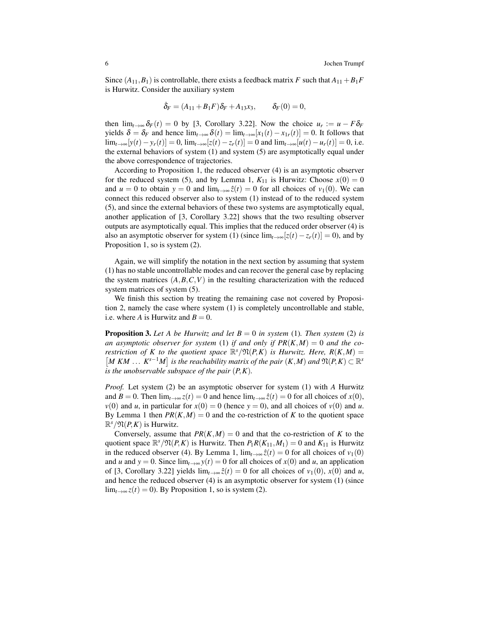Since  $(A_{11}, B_1)$  is controllable, there exists a feedback matrix *F* such that  $A_{11} + B_1F$ is Hurwitz. Consider the auxiliary system

$$
\dot{\delta}_F = (A_{11} + B_1 F) \delta_F + A_{13} x_3, \qquad \delta_F(0) = 0,
$$

then  $\lim_{t\to\infty} \delta_F(t) = 0$  by [3, Corollary 3.22]. Now the choice  $u_r := u - F \delta_F$ yields  $\delta = \delta_F$  and hence  $\lim_{t\to\infty} \delta(t) = \lim_{t\to\infty} [x_1(t) - x_{1r}(t)] = 0$ . It follows that lim<sub>*t*→∞</sub>[*y*(*t*) − *y<sub>r</sub>*(*t*)] = 0, lim<sub>*t*→∞</sub>[*z*(*t*) − *z<sub>r</sub>*(*t*)] = 0 and lim<sub>*t*→∞</sub>[*u*(*t*) − *u<sub>r</sub>*(*t*)] = 0, i.e. the external behaviors of system (1) and system (5) are asymptotically equal under the above correspondence of trajectories.

According to Proposition 1, the reduced observer (4) is an asymptotic observer for the reduced system (5), and by Lemma 1,  $K_{11}$  is Hurwitz: Choose  $x(0) = 0$ and  $u = 0$  to obtain  $y = 0$  and  $\lim_{t \to \infty} \hat{z}(t) = 0$  for all choices of  $v_1(0)$ . We can connect this reduced observer also to system (1) instead of to the reduced system (5), and since the external behaviors of these two systems are asymptotically equal, another application of [3, Corollary 3.22] shows that the two resulting observer outputs are asymptotically equal. This implies that the reduced order observer (4) is also an asymptotic observer for system (1) (since  $\lim_{t\to\infty} |z(t) - z_r(t)| = 0$ ), and by Proposition 1, so is system (2).

Again, we will simplify the notation in the next section by assuming that system (1) has no stable uncontrollable modes and can recover the general case by replacing the system matrices  $(A, B, C, V)$  in the resulting characterization with the reduced system matrices of system (5).

We finish this section by treating the remaining case not covered by Proposition 2, namely the case where system (1) is completely uncontrollable and stable, i.e. where *A* is Hurwitz and  $B = 0$ .

**Proposition 3.** Let A be Hurwitz and let  $B = 0$  in system (1). Then system (2) is *an asymptotic observer for system* (1) *if and only if*  $PR(K,M) = 0$  *and the corestriction of* K to the quotient space  $\mathbb{R}^s/\mathfrak{N}(P,K)$  is Hurwitz. Here,  $R(K,M) =$  $[M K M ... K^{s-1} M]$  is the reachability matrix of the pair  $(K, M)$  and  $\mathfrak{N}(P, K) \subset \mathbb{R}^s$ *is the unobservable subspace of the pair* (*P*,*K*)*.*

*Proof.* Let system (2) be an asymptotic observer for system (1) with *A* Hurwitz and *B* = 0. Then  $\lim_{t\to\infty} z(t) = 0$  and hence  $\lim_{t\to\infty} \hat{z}(t) = 0$  for all choices of *x*(0),  $v(0)$  and *u*, in particular for  $x(0) = 0$  (hence  $y = 0$ ), and all choices of  $v(0)$  and *u*. By Lemma 1 then  $PR(K,M) = 0$  and the co-restriction of K to the quotient space  $\mathbb{R}^s/\mathfrak{N}(P,K)$  is Hurwitz.

Conversely, assume that  $PR(K,M) = 0$  and that the co-restriction of K to the quotient space  $\mathbb{R}^s/\mathfrak{N}(P,K)$  is Hurwitz. Then  $P_1R(K_{11},M_1) = 0$  and  $K_{11}$  is Hurwitz in the reduced observer (4). By Lemma 1,  $\lim_{t\to\infty} \hat{z}(t) = 0$  for all choices of  $v_1(0)$ and *u* and  $y = 0$ . Since  $\lim_{t\to\infty} y(t) = 0$  for all choices of  $x(0)$  and *u*, an application of [3, Corollary 3.22] yields  $\lim_{t\to\infty} \hat{z}(t) = 0$  for all choices of  $v_1(0)$ ,  $x(0)$  and  $u$ , and hence the reduced observer (4) is an asymptotic observer for system (1) (since  $\lim_{t\to\infty} z(t) = 0$ . By Proposition 1, so is system (2).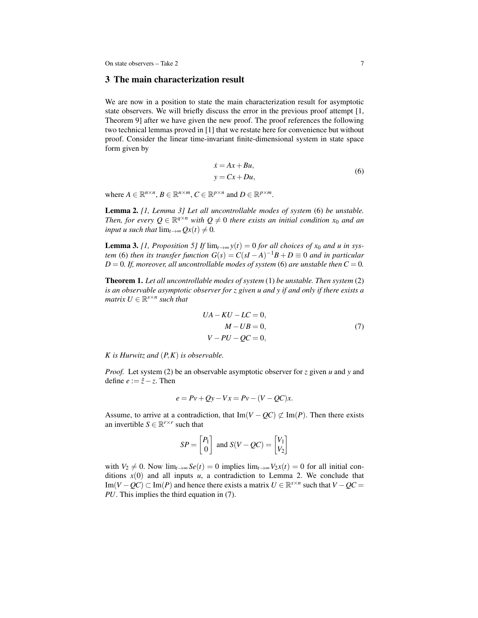On state observers – Take 2 7 7

#### 3 The main characterization result

We are now in a position to state the main characterization result for asymptotic state observers. We will briefly discuss the error in the previous proof attempt [1, Theorem 9] after we have given the new proof. The proof references the following two technical lemmas proved in [1] that we restate here for convenience but without proof. Consider the linear time-invariant finite-dimensional system in state space form given by

$$
\begin{aligned} \n\dot{x} &= Ax + Bu, \\ \ny &= Cx + Du, \tag{6} \n\end{aligned}
$$

where  $A \in \mathbb{R}^{n \times n}$ ,  $B \in \mathbb{R}^{n \times m}$ ,  $C \in \mathbb{R}^{p \times n}$  and  $D \in \mathbb{R}^{p \times m}$ .

Lemma 2. *[1, Lemma 3] Let all uncontrollable modes of system* (6) *be unstable. Then, for every*  $Q \in \mathbb{R}^{q \times n}$  *with*  $Q \neq 0$  *there exists an initial condition*  $x_0$  *and an input u such that*  $\lim_{t\to\infty} Qx(t) \neq 0$ .

**Lemma 3.** [1, Proposition 5] If  $\lim_{t\to\infty} y(t) = 0$  for all choices of  $x_0$  and u in sys*tem* (6) *then its transfer function*  $G(s) = C(sI - A)^{-1}B + D \equiv 0$  *and in particular*  $D = 0$ . If, moreover, all uncontrollable modes of system (6) are unstable then  $C = 0$ .

Theorem 1. *Let all uncontrollable modes of system* (1) *be unstable. Then system* (2) *is an observable asymptotic observer for z given u and y if and only if there exists a*  $matrix U \in \mathbb{R}^{s \times n}$  such that

$$
UA - KU - LC = 0,
$$
  
\n
$$
M - UB = 0,
$$
  
\n
$$
V - PU - QC = 0,
$$
\n(7)

*K is Hurwitz and* (*P*,*K*) *is observable.*

*Proof.* Let system (2) be an observable asymptotic observer for *z* given *u* and *y* and define  $e := \hat{z} - z$ . Then

$$
e = Pv + Qy - Vx = Pv - (V - QC)x.
$$

Assume, to arrive at a contradiction, that  $\text{Im}(V - QC) \not\subset \text{Im}(P)$ . Then there exists an invertible  $S \in \mathbb{R}^{r \times r}$  such that

$$
SP = \begin{bmatrix} P_1 \\ 0 \end{bmatrix} \text{ and } S(V - QC) = \begin{bmatrix} V_1 \\ V_2 \end{bmatrix}
$$

with  $V_2 \neq 0$ . Now  $\lim_{t\to\infty} Se(t) = 0$  implies  $\lim_{t\to\infty} V_2x(t) = 0$  for all initial conditions  $x(0)$  and all inputs  $u$ , a contradiction to Lemma 2. We conclude that Im(*V* −  $\overline{Q}$ *C*) ⊂ Im(*P*) and hence there exists a matrix *U* ∈  $\mathbb{R}^{s \times n}$  such that *V* −  $\overline{Q}$ *C* = *PU*. This implies the third equation in (7).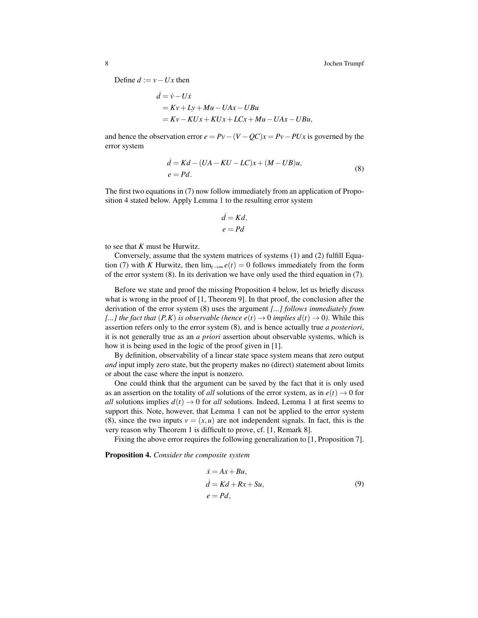8 Jochen Trumpf

Define  $d := v - Ux$  then

$$
\begin{aligned} \dot{d} &= \dot{v} - U\dot{x} \\ &= Kv + Ly + Mu - UAx - UBu \\ &= Kv - KUx + KUx + LCx + Mu - UAx - UBu, \end{aligned}
$$

and hence the observation error  $e = Pv - (V - QC)x = Pv - PUx$  is governed by the error system

$$
\dot{d} = Kd - (UA - KU - LC)x + (M - UB)u,
$$
  
\n
$$
e = Pd.
$$
\n(8)

The first two equations in (7) now follow immediately from an application of Proposition 4 stated below. Apply Lemma 1 to the resulting error system

$$
\begin{aligned}\n\dot{d} &= Kd, \\
e &= Pd\n\end{aligned}
$$

to see that *K* must be Hurwitz.

Conversely, assume that the system matrices of systems (1) and (2) fulfill Equation (7) with *K* Hurwitz, then  $\lim_{t\to\infty} e(t) = 0$  follows immediately from the form of the error system (8). In its derivation we have only used the third equation in (7).

Before we state and proof the missing Proposition 4 below, let us briefly discuss what is wrong in the proof of [1, Theorem 9]. In that proof, the conclusion after the derivation of the error system (8) uses the argument *[...] follows immediately from [...] the fact that*  $(P, K)$  *is observable (hence*  $e(t) \rightarrow 0$  *implies*  $d(t) \rightarrow 0$ *). While this* assertion refers only to the error system (8), and is hence actually true *a posteriori*, it is not generally true as an *a priori* assertion about observable systems, which is how it is being used in the logic of the proof given in [1].

By definition, observability of a linear state space system means that zero output *and* input imply zero state, but the property makes no (direct) statement about limits or about the case where the input is nonzero.

One could think that the argument can be saved by the fact that it is only used as an assertion on the totality of *all* solutions of the error system, as in  $e(t) \rightarrow 0$  for *all* solutions implies  $d(t) \rightarrow 0$  for *all* solutions. Indeed, Lemma 1 at first seems to support this. Note, however, that Lemma 1 can not be applied to the error system (8), since the two inputs  $v = (x, u)$  are not independent signals. In fact, this is the very reason why Theorem 1 is difficult to prove, cf. [1, Remark 8].

Fixing the above error requires the following generalization to [1, Proposition 7].

Proposition 4. *Consider the composite system*

$$
\begin{aligned}\n\dot{x} &= Ax + Bu, \\
\dot{d} &= Kd + Rx + Su, \\
e &= Pd,\n\end{aligned} \tag{9}
$$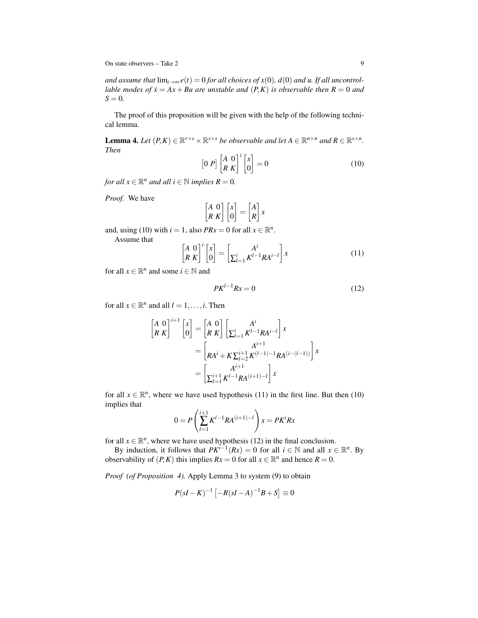On state observers – Take 2 9

*and assume that*  $\lim_{t\to\infty} e(t) = 0$  *for all choices of*  $x(0)$ *, d*(0) *and u. If all uncontrollable modes of*  $\dot{x} = Ax + Bu$  *are unstable and*  $(P, K)$  *is observable then*  $R = 0$  *and*  $S = 0$ .

The proof of this proposition will be given with the help of the following technical lemma.

**Lemma 4.** Let  $(P, K) \in \mathbb{R}^{r \times s} \times \mathbb{R}^{s \times s}$  be observable and let  $A \in \mathbb{R}^{n \times n}$  and  $R \in \mathbb{R}^{s \times n}$ . *Then*

$$
\begin{bmatrix} 0 \ P \end{bmatrix} \begin{bmatrix} A & 0 \\ R & K \end{bmatrix}^i \begin{bmatrix} x \\ 0 \end{bmatrix} = 0 \tag{10}
$$

*for all*  $x \in \mathbb{R}^n$  *and all*  $i \in \mathbb{N}$  *implies*  $R = 0$ *.* 

*Proof.* We have

$$
\begin{bmatrix} A & 0 \\ R & K \end{bmatrix} \begin{bmatrix} x \\ 0 \end{bmatrix} = \begin{bmatrix} A \\ R \end{bmatrix} x
$$

and, using (10) with  $i = 1$ , also  $PRx = 0$  for all  $x \in \mathbb{R}^n$ .

Assume that

$$
\begin{bmatrix} A & 0 \\ R & K \end{bmatrix}^i \begin{bmatrix} x \\ 0 \end{bmatrix} = \begin{bmatrix} A^i \\ \sum_{l=1}^i K^{l-1} R A^{i-l} \end{bmatrix} x
$$
\n(11)

for all  $x \in \mathbb{R}^n$  and some  $i \in \mathbb{N}$  and

$$
PK^{l-1}Rx = 0\tag{12}
$$

for all  $x \in \mathbb{R}^n$  and all  $l = 1, \ldots, i$ . Then

$$
\begin{aligned}\n\begin{bmatrix} A & 0 \\ R & K \end{bmatrix}^{i+1} \begin{bmatrix} x \\ 0 \end{bmatrix} &= \begin{bmatrix} A & 0 \\ R & K \end{bmatrix} \begin{bmatrix} A^i \\ \Sigma_{l=1}^i K^{l-1} R A^{i-l} \end{bmatrix} x \\
&= \begin{bmatrix} A^{i+1} \\ R A^i + K \Sigma_{l=2}^{i+1} K^{(l-1)-1} R A^{(i-(l-1))} \end{bmatrix} x \\
&= \begin{bmatrix} A^{i+1} \\ \Sigma_{l=1}^{i+1} K^{l-1} R A^{(i+1)-l} \end{bmatrix} x\n\end{aligned}
$$

for all  $x \in \mathbb{R}^n$ , where we have used hypothesis (11) in the first line. But then (10) implies that

$$
0 = P\left(\sum_{l=1}^{i+1} K^{l-1} R A^{(i+1)-l}\right) x = P K^i R x
$$

for all  $x \in \mathbb{R}^n$ , where we have used hypothesis (12) in the final conclusion.

By induction, it follows that  $PK^{i-1}(Rx) = 0$  for all  $i \in \mathbb{N}$  and all  $x \in \mathbb{R}^n$ . By observability of  $(P, K)$  this implies  $Rx = 0$  for all  $x \in \mathbb{R}^n$  and hence  $R = 0$ .

*Proof (of Proposition 4).* Apply Lemma 3 to system (9) to obtain

$$
P(sI - K)^{-1} [ -R(sI - A)^{-1}B + S ] \equiv 0
$$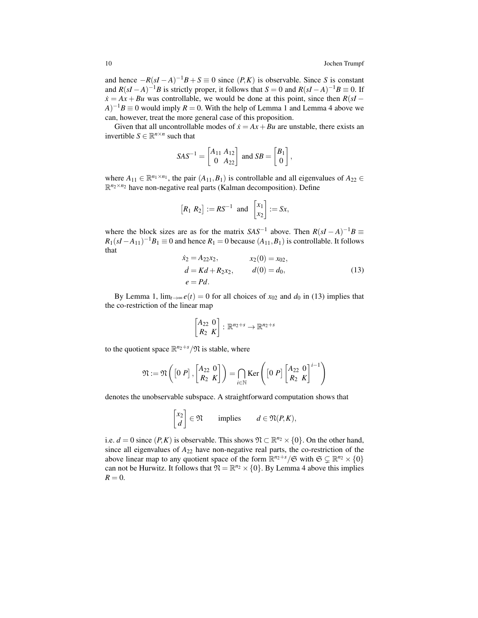and hence  $-R(sI - A)^{-1}B + S \equiv 0$  since  $(P, K)$  is observable. Since *S* is constant and  $R(sI - A)^{-1}B$  is strictly proper, it follows that  $S = 0$  and  $R(sI - A)^{-1}B \equiv 0$ . If  $\dot{x} = Ax + Bu$  was controllable, we would be done at this point, since then  $R(sI - bI)$  $(A)^{-1}B \equiv 0$  would imply  $R = 0$ . With the help of Lemma 1 and Lemma 4 above we can, however, treat the more general case of this proposition.

Given that all uncontrollable modes of  $\dot{x} = Ax + Bu$  are unstable, there exists an invertible  $S \in \mathbb{R}^{n \times n}$  such that

$$
SAS^{-1} = \begin{bmatrix} A_{11} & A_{12} \\ 0 & A_{22} \end{bmatrix} \text{ and } SB = \begin{bmatrix} B_1 \\ 0 \end{bmatrix},
$$

where  $A_{11} \in \mathbb{R}^{n_1 \times n_1}$ , the pair  $(A_{11}, B_1)$  is controllable and all eigenvalues of  $A_{22} \in$  $\mathbb{R}^{n_2 \times n_2}$  have non-negative real parts (Kalman decomposition). Define

$$
[R_1 R_2] := RS^{-1} \text{ and } \begin{bmatrix} x_1 \\ x_2 \end{bmatrix} := Sx,
$$

where the block sizes are as for the matrix  $SAS^{-1}$  above. Then  $R(sI - A)^{-1}B \equiv$  $R_1(sI - A_{11})^{-1}B_1 \equiv 0$  and hence  $R_1 = 0$  because  $(A_{11}, B_1)$  is controllable. It follows that

$$
\begin{aligned}\n\dot{x}_2 &= A_{22}x_2, & x_2(0) &= x_{02}, \\
\dot{d} &= Kd + R_2x_2, & d(0) &= d_0, \\
e &= Pd.\n\end{aligned} \tag{13}
$$

By Lemma 1,  $\lim_{t\to\infty}e(t)=0$  for all choices of  $x_{02}$  and  $d_0$  in (13) implies that the co-restriction of the linear map

$$
\begin{bmatrix} A_{22} & 0 \\ R_2 & K \end{bmatrix} : \mathbb{R}^{n_2+s} \to \mathbb{R}^{n_2+s}
$$

to the quotient space  $\mathbb{R}^{n_2+s}/\mathfrak{N}$  is stable, where

$$
\mathfrak{N} := \mathfrak{N}\left( \begin{bmatrix} 0 & P \end{bmatrix}, \begin{bmatrix} A_{22} & 0 \\ R_2 & K \end{bmatrix} \right) = \bigcap_{i \in \mathbb{N}} \text{Ker}\left( \begin{bmatrix} 0 & P \end{bmatrix} \begin{bmatrix} A_{22} & 0 \\ R_2 & K \end{bmatrix}^{i-1} \right)
$$

denotes the unobservable subspace. A straightforward computation shows that

$$
\begin{bmatrix} x_2 \\ d \end{bmatrix} \in \mathfrak{N} \qquad \text{implies} \qquad d \in \mathfrak{N}(P, K),
$$

i.e.  $d = 0$  since  $(P, K)$  is observable. This shows  $\mathfrak{N} \subset \mathbb{R}^{n_2} \times \{0\}$ . On the other hand, since all eigenvalues of *A*<sup>22</sup> have non-negative real parts, the co-restriction of the above linear map to any quotient space of the form  $\mathbb{R}^{n_2+s}/\mathfrak{S}$  with  $\mathfrak{S} \subsetneq \mathbb{R}^{n_2} \times \{0\}$ can not be Hurwitz. It follows that  $\mathfrak{N} = \mathbb{R}^{n_2} \times \{0\}$ . By Lemma 4 above this implies  $R = 0$ .